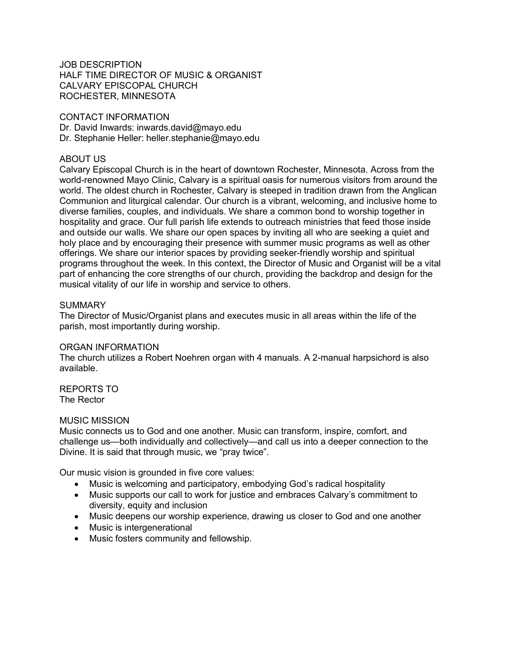## JOB DESCRIPTION HALF TIME DIRECTOR OF MUSIC & ORGANIST CALVARY EPISCOPAL CHURCH ROCHESTER, MINNESOTA

## CONTACT INFORMATION

Dr. David Inwards: inwards.david@mayo.edu Dr. Stephanie Heller: heller.stephanie@mayo.edu

## ABOUT US

Calvary Episcopal Church is in the heart of downtown Rochester, Minnesota. Across from the world-renowned Mayo Clinic, Calvary is a spiritual oasis for numerous visitors from around the world. The oldest church in Rochester, Calvary is steeped in tradition drawn from the Anglican Communion and liturgical calendar. Our church is a vibrant, welcoming, and inclusive home to diverse families, couples, and individuals. We share a common bond to worship together in hospitality and grace. Our full parish life extends to outreach ministries that feed those inside and outside our walls. We share our open spaces by inviting all who are seeking a quiet and holy place and by encouraging their presence with summer music programs as well as other offerings. We share our interior spaces by providing seeker-friendly worship and spiritual programs throughout the week. In this context, the Director of Music and Organist will be a vital part of enhancing the core strengths of our church, providing the backdrop and design for the musical vitality of our life in worship and service to others.

## SUMMARY

The Director of Music/Organist plans and executes music in all areas within the life of the parish, most importantly during worship.

### ORGAN INFORMATION

The church utilizes a Robert Noehren organ with 4 manuals. A 2-manual harpsichord is also available.

#### REPORTS TO The Rector

### MUSIC MISSION

Music connects us to God and one another. Music can transform, inspire, comfort, and challenge us—both individually and collectively—and call us into a deeper connection to the Divine. It is said that through music, we "pray twice".

Our music vision is grounded in five core values:

- Music is welcoming and participatory, embodying God's radical hospitality
- Music supports our call to work for justice and embraces Calvary's commitment to diversity, equity and inclusion
- Music deepens our worship experience, drawing us closer to God and one another
- Music is intergenerational
- Music fosters community and fellowship.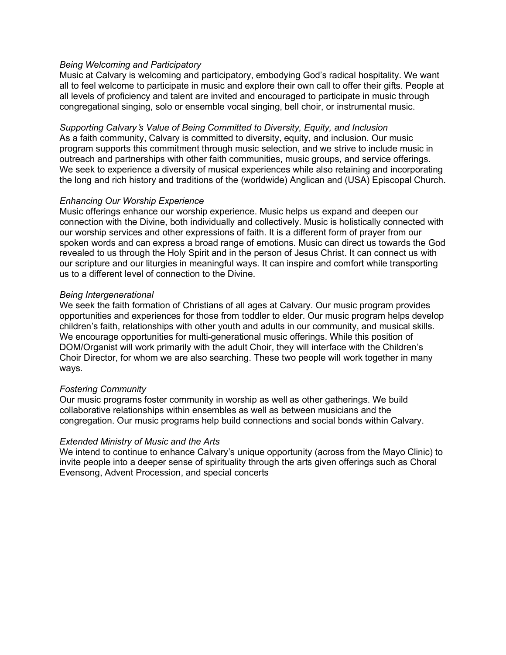### *Being Welcoming and Participatory*

Music at Calvary is welcoming and participatory, embodying God's radical hospitality. We want all to feel welcome to participate in music and explore their own call to offer their gifts. People at all levels of proficiency and talent are invited and encouraged to participate in music through congregational singing, solo or ensemble vocal singing, bell choir, or instrumental music.

*Supporting Calvary*'*s Value of Being Committed to Diversity, Equity, and Inclusion* As a faith community, Calvary is committed to diversity, equity, and inclusion. Our music program supports this commitment through music selection, and we strive to include music in outreach and partnerships with other faith communities, music groups, and service offerings. We seek to experience a diversity of musical experiences while also retaining and incorporating the long and rich history and traditions of the (worldwide) Anglican and (USA) Episcopal Church.

# *Enhancing Our Worship Experience*

Music offerings enhance our worship experience. Music helps us expand and deepen our connection with the Divine, both individually and collectively. Music is holistically connected with our worship services and other expressions of faith. It is a different form of prayer from our spoken words and can express a broad range of emotions. Music can direct us towards the God revealed to us through the Holy Spirit and in the person of Jesus Christ. It can connect us with our scripture and our liturgies in meaningful ways. It can inspire and comfort while transporting us to a different level of connection to the Divine.

### *Being Intergenerational*

We seek the faith formation of Christians of all ages at Calvary. Our music program provides opportunities and experiences for those from toddler to elder. Our music program helps develop children's faith, relationships with other youth and adults in our community, and musical skills. We encourage opportunities for multi-generational music offerings. While this position of DOM/Organist will work primarily with the adult Choir, they will interface with the Children's Choir Director, for whom we are also searching. These two people will work together in many ways.

### *Fostering Community*

Our music programs foster community in worship as well as other gatherings. We build collaborative relationships within ensembles as well as between musicians and the congregation. Our music programs help build connections and social bonds within Calvary.

# *Extended Ministry of Music and the Arts*

We intend to continue to enhance Calvary's unique opportunity (across from the Mayo Clinic) to invite people into a deeper sense of spirituality through the arts given offerings such as Choral Evensong, Advent Procession, and special concerts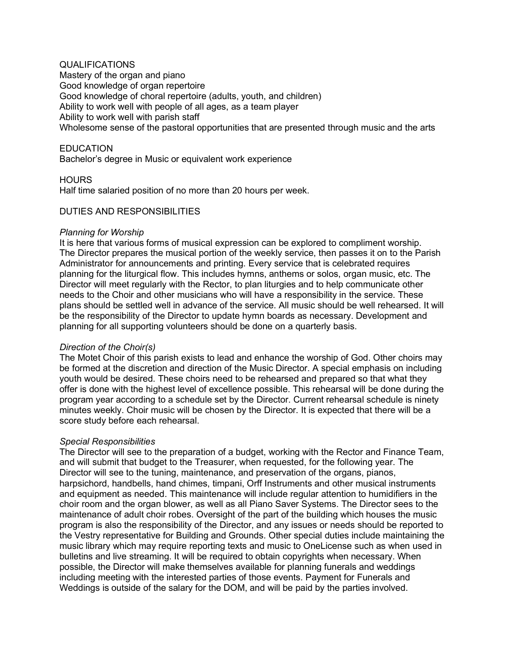# QUALIFICATIONS

Mastery of the organ and piano Good knowledge of organ repertoire Good knowledge of choral repertoire (adults, youth, and children) Ability to work well with people of all ages, as a team player Ability to work well with parish staff Wholesome sense of the pastoral opportunities that are presented through music and the arts

## EDUCATION

Bachelor's degree in Music or equivalent work experience

## **HOURS**

Half time salaried position of no more than 20 hours per week.

### DUTIES AND RESPONSIBILITIES

### *Planning for Worship*

It is here that various forms of musical expression can be explored to compliment worship. The Director prepares the musical portion of the weekly service, then passes it on to the Parish Administrator for announcements and printing. Every service that is celebrated requires planning for the liturgical flow. This includes hymns, anthems or solos, organ music, etc. The Director will meet regularly with the Rector, to plan liturgies and to help communicate other needs to the Choir and other musicians who will have a responsibility in the service. These plans should be settled well in advance of the service. All music should be well rehearsed. It will be the responsibility of the Director to update hymn boards as necessary. Development and planning for all supporting volunteers should be done on a quarterly basis.

### *Direction of the Choir(s)*

The Motet Choir of this parish exists to lead and enhance the worship of God. Other choirs may be formed at the discretion and direction of the Music Director. A special emphasis on including youth would be desired. These choirs need to be rehearsed and prepared so that what they offer is done with the highest level of excellence possible. This rehearsal will be done during the program year according to a schedule set by the Director. Current rehearsal schedule is ninety minutes weekly. Choir music will be chosen by the Director. It is expected that there will be a score study before each rehearsal.

### *Special Responsibilities*

The Director will see to the preparation of a budget, working with the Rector and Finance Team, and will submit that budget to the Treasurer, when requested, for the following year. The Director will see to the tuning, maintenance, and preservation of the organs, pianos, harpsichord, handbells, hand chimes, timpani, Orff Instruments and other musical instruments and equipment as needed. This maintenance will include regular attention to humidifiers in the choir room and the organ blower, as well as all Piano Saver Systems. The Director sees to the maintenance of adult choir robes. Oversight of the part of the building which houses the music program is also the responsibility of the Director, and any issues or needs should be reported to the Vestry representative for Building and Grounds. Other special duties include maintaining the music library which may require reporting texts and music to OneLicense such as when used in bulletins and live streaming. It will be required to obtain copyrights when necessary. When possible, the Director will make themselves available for planning funerals and weddings including meeting with the interested parties of those events. Payment for Funerals and Weddings is outside of the salary for the DOM, and will be paid by the parties involved.